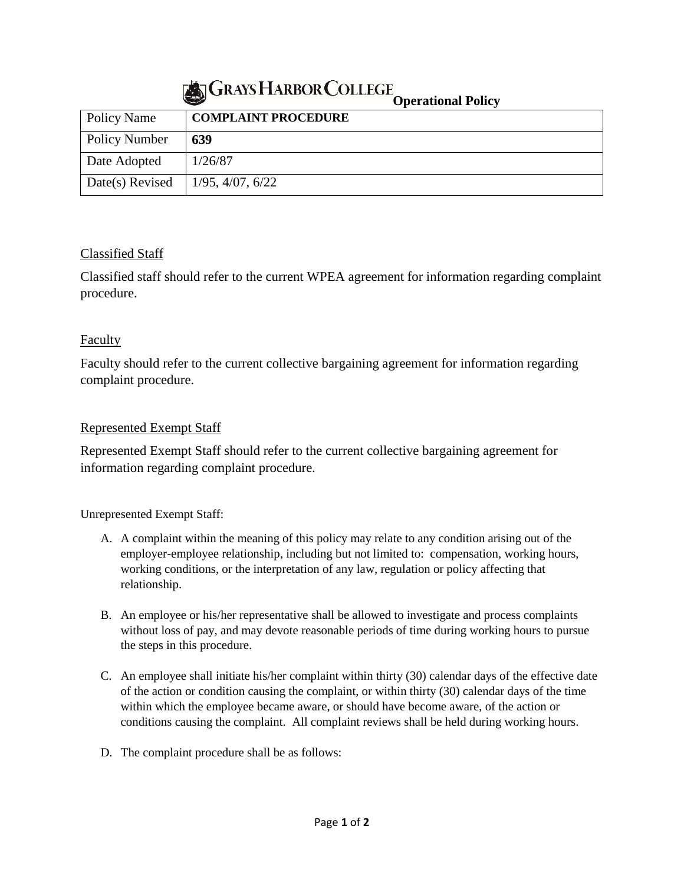## **GRAYS HARBOR COLLEGE**

|                 | $\sim$                     | Operational I oncy |
|-----------------|----------------------------|--------------------|
| Policy Name     | <b>COMPLAINT PROCEDURE</b> |                    |
| Policy Number   | 639                        |                    |
| Date Adopted    | 1/26/87                    |                    |
| Date(s) Revised | 1/95, 4/07, 6/22           |                    |

## Classified Staff

Classified staff should refer to the current WPEA agreement for information regarding complaint procedure.

## Faculty

Faculty should refer to the current collective bargaining agreement for information regarding complaint procedure.

## Represented Exempt Staff

Represented Exempt Staff should refer to the current collective bargaining agreement for information regarding complaint procedure.

Unrepresented Exempt Staff:

- A. A complaint within the meaning of this policy may relate to any condition arising out of the employer-employee relationship, including but not limited to: compensation, working hours, working conditions, or the interpretation of any law, regulation or policy affecting that relationship.
- B. An employee or his/her representative shall be allowed to investigate and process complaints without loss of pay, and may devote reasonable periods of time during working hours to pursue the steps in this procedure.
- C. An employee shall initiate his/her complaint within thirty (30) calendar days of the effective date of the action or condition causing the complaint, or within thirty (30) calendar days of the time within which the employee became aware, or should have become aware, of the action or conditions causing the complaint. All complaint reviews shall be held during working hours.
- D. The complaint procedure shall be as follows: